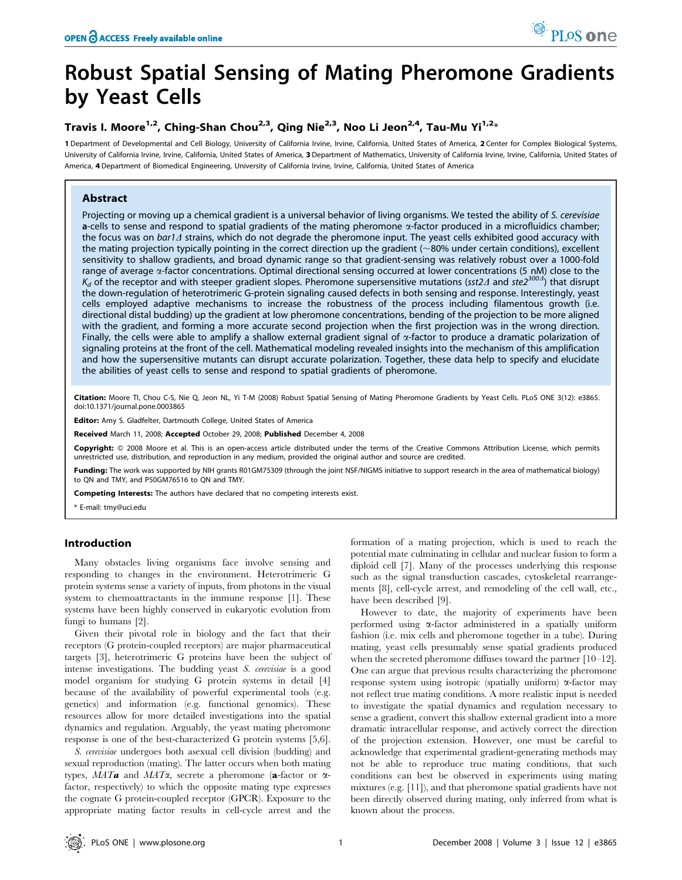# Robust Spatial Sensing of Mating Pheromone Gradients by Yeast Cells

## Travis I. Moore<sup>1,2</sup>, Ching-Shan Chou<sup>2,3</sup>, Qing Nie<sup>2,3</sup>, Noo Li Jeon<sup>2,4</sup>, Tau-Mu Yi<sup>1,2\*</sup>

1 Department of Developmental and Cell Biology, University of California Irvine, California, United States of America, 2 Center for Complex Biological Systems, University of California Irvine, Irvine, California, United States of America, 3 Department of Mathematics, University of California Irvine, California, United States of America, 4 Department of Biomedical Engineering, University of California Irvine, Irvine, California, United States of America

## Abstract

Projecting or moving up a chemical gradient is a universal behavior of living organisms. We tested the ability of S. cerevisiae a-cells to sense and respond to spatial gradients of the mating pheromone  $\alpha$ -factor produced in a microfluidics chamber; the focus was on bar1 $\Lambda$  strains, which do not degrade the pheromone input. The yeast cells exhibited good accuracy with the mating projection typically pointing in the correct direction up the gradient  $(\sim 80\%$  under certain conditions), excellent sensitivity to shallow gradients, and broad dynamic range so that gradient-sensing was relatively robust over a 1000-fold range of average  $\alpha$ -factor concentrations. Optimal directional sensing occurred at lower concentrations (5 nM) close to the  $K_d$  of the receptor and with steeper gradient slopes. Pheromone supersensitive mutations (sst2 $\Delta$  and ste $2^{300\Delta}$ ) that disrupt the down-regulation of heterotrimeric G-protein signaling caused defects in both sensing and response. Interestingly, yeast cells employed adaptive mechanisms to increase the robustness of the process including filamentous growth (i.e. directional distal budding) up the gradient at low pheromone concentrations, bending of the projection to be more aligned with the gradient, and forming a more accurate second projection when the first projection was in the wrong direction. Finally, the cells were able to amplify a shallow external gradient signal of a-factor to produce a dramatic polarization of signaling proteins at the front of the cell. Mathematical modeling revealed insights into the mechanism of this amplification and how the supersensitive mutants can disrupt accurate polarization. Together, these data help to specify and elucidate the abilities of yeast cells to sense and respond to spatial gradients of pheromone.

Citation: Moore TI, Chou C-S, Nie Q, Jeon NL, Yi T-M (2008) Robust Spatial Sensing of Mating Pheromone Gradients by Yeast Cells. PLoS ONE 3(12): e3865. doi:10.1371/journal.pone.0003865

Editor: Amy S. Gladfelter, Dartmouth College, United States of America

Received March 11, 2008; Accepted October 29, 2008; Published December 4, 2008

Copyright: @ 2008 Moore et al. This is an open-access article distributed under the terms of the Creative Commons Attribution License, which permits estricted use, distribution, and reproduction in any medium, provided the original author and source are credited.

Funding: The work was supported by NIH grants R01GM75309 (through the joint NSF/NIGMS initiative to support research in the area of mathematical biology) to QN and TMY, and P50GM76516 to QN and TMY.

Competing Interests: The authors have declared that no competing interests exist.

\* E-mail: tmy@uci.edu

## Introduction

Many obstacles living organisms face involve sensing and responding to changes in the environment. Heterotrimeric G protein systems sense a variety of inputs, from photons in the visual system to chemoattractants in the immune response [1]. These systems have been highly conserved in eukaryotic evolution from fungi to humans [2].

Given their pivotal role in biology and the fact that their receptors (G protein-coupled receptors) are major pharmaceutical targets [3], heterotrimeric G proteins have been the subject of intense investigations. The budding yeast S. cerevisiae is a good model organism for studying G protein systems in detail [4] because of the availability of powerful experimental tools (e.g. genetics) and information (e.g. functional genomics). These resources allow for more detailed investigations into the spatial dynamics and regulation. Arguably, the yeast mating pheromone response is one of the best-characterized G protein systems [5,6].

S. cerevisiae undergoes both asexual cell division (budding) and sexual reproduction (mating). The latter occurs when both mating types,  $MATa$  and  $MATa$ , secrete a pheromone (a-factor or  $\alpha$ factor, respectively) to which the opposite mating type expresses the cognate G protein-coupled receptor (GPCR). Exposure to the appropriate mating factor results in cell-cycle arrest and the formation of a mating projection, which is used to reach the potential mate culminating in cellular and nuclear fusion to form a diploid cell [7]. Many of the processes underlying this response such as the signal transduction cascades, cytoskeletal rearrangements [8], cell-cycle arrest, and remodeling of the cell wall, etc., have been described [9].

However to date, the majority of experiments have been performed using a-factor administered in a spatially uniform fashion (i.e. mix cells and pheromone together in a tube). During mating, yeast cells presumably sense spatial gradients produced when the secreted pheromone diffuses toward the partner [10–12]. One can argue that previous results characterizing the pheromone response system using isotropic (spatially uniform)  $\alpha$ -factor may not reflect true mating conditions. A more realistic input is needed to investigate the spatial dynamics and regulation necessary to sense a gradient, convert this shallow external gradient into a more dramatic intracellular response, and actively correct the direction of the projection extension. However, one must be careful to acknowledge that experimental gradient-generating methods may not be able to reproduce true mating conditions, that such conditions can best be observed in experiments using mating mixtures (e.g. [11]), and that pheromone spatial gradients have not been directly observed during mating, only inferred from what is known about the process.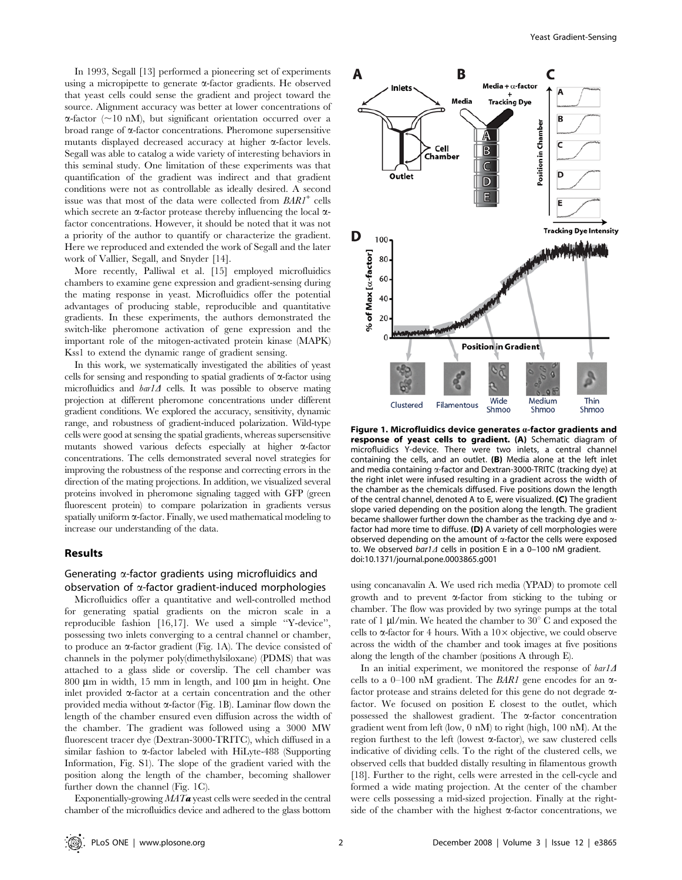In 1993, Segall [13] performed a pioneering set of experiments using a micropipette to generate  $\alpha$ -factor gradients. He observed that yeast cells could sense the gradient and project toward the source. Alignment accuracy was better at lower concentrations of  $\alpha$ -factor (~10 nM), but significant orientation occurred over a broad range of  $\alpha$ -factor concentrations. Pheromone supersensitive mutants displayed decreased accuracy at higher  $\alpha$ -factor levels. Segall was able to catalog a wide variety of interesting behaviors in this seminal study. One limitation of these experiments was that quantification of the gradient was indirect and that gradient conditions were not as controllable as ideally desired. A second issue was that most of the data were collected from  $BARI^+$  cells which secrete an  $\alpha$ -factor protease thereby influencing the local  $\alpha$ factor concentrations. However, it should be noted that it was not a priority of the author to quantify or characterize the gradient. Here we reproduced and extended the work of Segall and the later work of Vallier, Segall, and Snyder [14].

More recently, Palliwal et al. [15] employed microfluidics chambers to examine gene expression and gradient-sensing during the mating response in yeast. Microfluidics offer the potential advantages of producing stable, reproducible and quantitative gradients. In these experiments, the authors demonstrated the switch-like pheromone activation of gene expression and the important role of the mitogen-activated protein kinase (MAPK) Kss1 to extend the dynamic range of gradient sensing.

In this work, we systematically investigated the abilities of yeast cells for sensing and responding to spatial gradients of  $\alpha$ -factor using microfluidics and  $bar1\Delta$  cells. It was possible to observe mating projection at different pheromone concentrations under different gradient conditions. We explored the accuracy, sensitivity, dynamic range, and robustness of gradient-induced polarization. Wild-type cells were good at sensing the spatial gradients, whereas supersensitive mutants showed various defects especially at higher  $\alpha$ -factor concentrations. The cells demonstrated several novel strategies for improving the robustness of the response and correcting errors in the direction of the mating projections. In addition, we visualized several proteins involved in pheromone signaling tagged with GFP (green fluorescent protein) to compare polarization in gradients versus spatially uniform  $\alpha$ -factor. Finally, we used mathematical modeling to increase our understanding of the data.

#### Results

## Generating  $\alpha$ -factor gradients using microfluidics and observation of  $\alpha$ -factor gradient-induced morphologies

Microfluidics offer a quantitative and well-controlled method for generating spatial gradients on the micron scale in a reproducible fashion [16,17]. We used a simple ''Y-device'', possessing two inlets converging to a central channel or chamber, to produce an  $\alpha$ -factor gradient (Fig. 1A). The device consisted of channels in the polymer poly(dimethylsiloxane) (PDMS) that was attached to a glass slide or coverslip. The cell chamber was  $800 \mu m$  in width, 15 mm in length, and 100  $\mu m$  in height. One inlet provided  $\alpha$ -factor at a certain concentration and the other provided media without  $\alpha$ -factor (Fig. 1B). Laminar flow down the length of the chamber ensured even diffusion across the width of the chamber. The gradient was followed using a 3000 MW fluorescent tracer dye (Dextran-3000-TRITC), which diffused in a similar fashion to  $\alpha$ -factor labeled with HiLyte-488 (Supporting Information, Fig. S1). The slope of the gradient varied with the position along the length of the chamber, becoming shallower further down the channel (Fig. 1C).

Exponentially-growing  $MATa$  yeast cells were seeded in the central chamber of the microfluidics device and adhered to the glass bottom



Figure 1. Microfluidics device generates  $a$ -factor gradients and response of yeast cells to gradient. (A) Schematic diagram of microfluidics Y-device. There were two inlets, a central channel containing the cells, and an outlet. (B) Media alone at the left inlet and media containing  $\alpha$ -factor and Dextran-3000-TRITC (tracking dye) at the right inlet were infused resulting in a gradient across the width of the chamber as the chemicals diffused. Five positions down the length of the central channel, denoted A to E, were visualized. (C) The gradient slope varied depending on the position along the length. The gradient became shallower further down the chamber as the tracking dye and  $\alpha$ factor had more time to diffuse. (D) A variety of cell morphologies were observed depending on the amount of  $\alpha$ -factor the cells were exposed to. We observed  $bar1\Delta$  cells in position E in a 0–100 nM gradient. doi:10.1371/journal.pone.0003865.g001

using concanavalin A. We used rich media (YPAD) to promote cell growth and to prevent  $\alpha$ -factor from sticking to the tubing or chamber. The flow was provided by two syringe pumps at the total rate of 1  $\mu$ l/min. We heated the chamber to 30 $^{\circ}$  C and exposed the cells to  $\alpha$ -factor for 4 hours. With a  $10\times$  objective, we could observe across the width of the chamber and took images at five positions along the length of the chamber (positions A through E).

In an initial experiment, we monitored the response of  $bar1A$ cells to a 0–100 nM gradient. The *BAR1* gene encodes for an  $\alpha$ factor protease and strains deleted for this gene do not degrade afactor. We focused on position E closest to the outlet, which possessed the shallowest gradient. The  $\alpha$ -factor concentration gradient went from left (low, 0 nM) to right (high, 100 nM). At the region furthest to the left (lowest  $\alpha$ -factor), we saw clustered cells indicative of dividing cells. To the right of the clustered cells, we observed cells that budded distally resulting in filamentous growth [18]. Further to the right, cells were arrested in the cell-cycle and formed a wide mating projection. At the center of the chamber were cells possessing a mid-sized projection. Finally at the rightside of the chamber with the highest  $\alpha$ -factor concentrations, we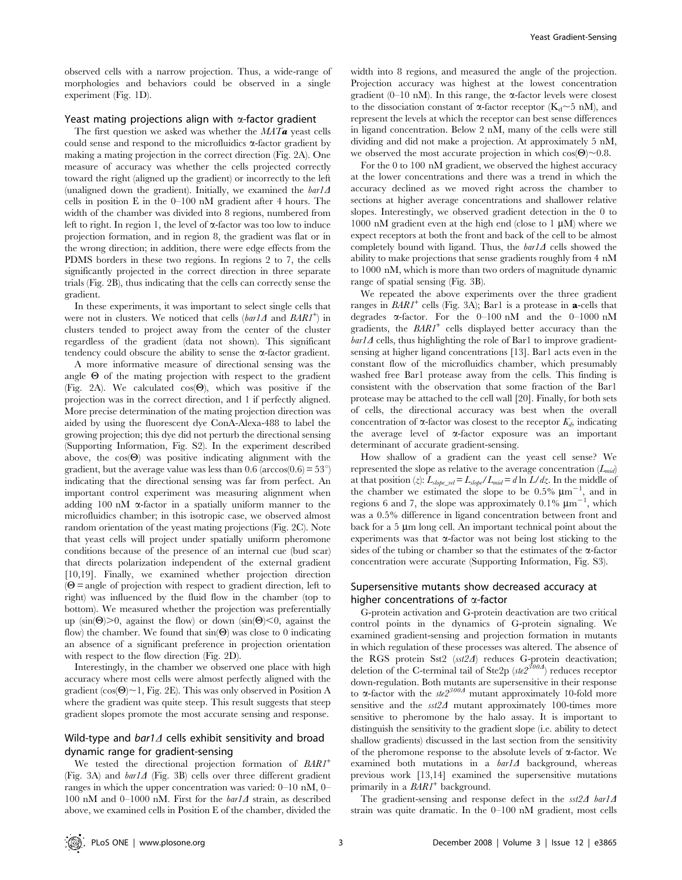observed cells with a narrow projection. Thus, a wide-range of morphologies and behaviors could be observed in a single experiment (Fig. 1D).

## Yeast mating projections align with  $\alpha$ -factor gradient

The first question we asked was whether the  $MATa$  yeast cells could sense and respond to the microfluidics  $\alpha$ -factor gradient by making a mating projection in the correct direction (Fig. 2A). One measure of accuracy was whether the cells projected correctly toward the right (aligned up the gradient) or incorrectly to the left (unaligned down the gradient). Initially, we examined the  $bar1\Delta$ cells in position E in the 0–100 nM gradient after 4 hours. The width of the chamber was divided into 8 regions, numbered from left to right. In region 1, the level of  $\alpha$ -factor was too low to induce projection formation, and in region 8, the gradient was flat or in the wrong direction; in addition, there were edge effects from the PDMS borders in these two regions. In regions 2 to 7, the cells significantly projected in the correct direction in three separate trials (Fig. 2B), thus indicating that the cells can correctly sense the gradient.

In these experiments, it was important to select single cells that were not in clusters. We noticed that cells (bar1 $\Delta$  and  $BARI^+$ ) in clusters tended to project away from the center of the cluster regardless of the gradient (data not shown). This significant tendency could obscure the ability to sense the  $\alpha$ -factor gradient.

A more informative measure of directional sensing was the angle  $\Theta$  of the mating projection with respect to the gradient (Fig. 2A). We calculated  $cos(\Theta)$ , which was positive if the projection was in the correct direction, and 1 if perfectly aligned. More precise determination of the mating projection direction was aided by using the fluorescent dye ConA-Alexa-488 to label the growing projection; this dye did not perturb the directional sensing (Supporting Information, Fig. S2). In the experiment described above, the  $cos(\Theta)$  was positive indicating alignment with the gradient, but the average value was less than 0.6 ( $\arccos(0.6) = 53^{\circ}$ ) indicating that the directional sensing was far from perfect. An important control experiment was measuring alignment when adding 100 nM  $\alpha$ -factor in a spatially uniform manner to the microfluidics chamber; in this isotropic case, we observed almost random orientation of the yeast mating projections (Fig. 2C). Note that yeast cells will project under spatially uniform pheromone conditions because of the presence of an internal cue (bud scar) that directs polarization independent of the external gradient [10,19]. Finally, we examined whether projection direction  $(\Theta = \text{angle of projection with respect to gradient direction, left to})$ right) was influenced by the fluid flow in the chamber (top to bottom). We measured whether the projection was preferentially up (sin( $\Theta$ ) $> 0$ , against the flow) or down (sin( $\Theta$ ) $< 0$ , against the flow) the chamber. We found that  $sin(\Theta)$  was close to 0 indicating an absence of a significant preference in projection orientation with respect to the flow direction (Fig. 2D).

Interestingly, in the chamber we observed one place with high accuracy where most cells were almost perfectly aligned with the gradient  $(cos(\Theta) \sim 1$ , Fig. 2E). This was only observed in Position A where the gradient was quite steep. This result suggests that steep gradient slopes promote the most accurate sensing and response.

## Wild-type and  $bar1\Delta$  cells exhibit sensitivity and broad dynamic range for gradient-sensing

We tested the directional projection formation of  $BARI^+$ (Fig. 3A) and  $bar1\Delta$  (Fig. 3B) cells over three different gradient ranges in which the upper concentration was varied: 0–10 nM, 0– 100 nM and 0–1000 nM. First for the  $bar1\Delta$  strain, as described above, we examined cells in Position E of the chamber, divided the

width into 8 regions, and measured the angle of the projection. Projection accuracy was highest at the lowest concentration gradient (0–10 nM). In this range, the  $\alpha$ -factor levels were closest to the dissociation constant of  $\alpha$ -factor receptor (K<sub>d</sub> $\sim$ 5 nM), and represent the levels at which the receptor can best sense differences in ligand concentration. Below 2 nM, many of the cells were still dividing and did not make a projection. At approximately 5 nM, we observed the most accurate projection in which  $cos(\Theta) \sim 0.8$ .

For the 0 to 100 nM gradient, we observed the highest accuracy at the lower concentrations and there was a trend in which the accuracy declined as we moved right across the chamber to sections at higher average concentrations and shallower relative slopes. Interestingly, we observed gradient detection in the 0 to 1000 nM gradient even at the high end (close to 1  $\upmu\textrm{M})$  where we expect receptors at both the front and back of the cell to be almost completely bound with ligand. Thus, the  $bar1\Delta$  cells showed the ability to make projections that sense gradients roughly from 4 nM to 1000 nM, which is more than two orders of magnitude dynamic range of spatial sensing (Fig. 3B).

We repeated the above experiments over the three gradient ranges in  $BARI^+$  cells (Fig. 3A); Bar1 is a protease in **a**-cells that degrades  $\alpha$ -factor. For the 0–100 nM and the 0–1000 nM gradients, the  $BARI^+$  cells displayed better accuracy than the  $bar1\Delta$  cells, thus highlighting the role of Bar1 to improve gradientsensing at higher ligand concentrations [13]. Bar1 acts even in the constant flow of the microfluidics chamber, which presumably washed free Bar1 protease away from the cells. This finding is consistent with the observation that some fraction of the Bar1 protease may be attached to the cell wall [20]. Finally, for both sets of cells, the directional accuracy was best when the overall concentration of  $\alpha$ -factor was closest to the receptor  $K_d$ , indicating the average level of  $\alpha$ -factor exposure was an important determinant of accurate gradient-sensing.

How shallow of a gradient can the yeast cell sense? We represented the slope as relative to the average concentration  $(L_{mid})$ at that position (*z*):  $L_{slope\_rel} = L_{slope}/L_{mid} = d \ln L/dz$ . In the middle of the chamber we estimated the slope to be  $0.5\%$   $\mu$ m<sup>-1</sup>, and in regions 6 and 7, the slope was approximately  $0.1\%$   $\mu$ m<sup>-1</sup>, which was a 0.5% difference in ligand concentration between front and back for a  $5 \mu m$  long cell. An important technical point about the experiments was that  $\alpha$ -factor was not being lost sticking to the sides of the tubing or chamber so that the estimates of the  $\alpha$ -factor concentration were accurate (Supporting Information, Fig. S3).

## Supersensitive mutants show decreased accuracy at higher concentrations of  $\alpha$ -factor

G-protein activation and G-protein deactivation are two critical control points in the dynamics of G-protein signaling. We examined gradient-sensing and projection formation in mutants in which regulation of these processes was altered. The absence of the RGS protein Sst2 (sst24) reduces G-protein deactivation; deletion of the C-terminal tail of Ste2p ( $ste2^{300A}$ ) reduces receptor down-regulation. Both mutants are supersensitive in their response to  $\alpha$ -factor with the ste2<sup>300A</sup> mutant approximately 10-fold more sensitive and the  $sst2\Delta$  mutant approximately 100-times more sensitive to pheromone by the halo assay. It is important to distinguish the sensitivity to the gradient slope (i.e. ability to detect shallow gradients) discussed in the last section from the sensitivity of the pheromone response to the absolute levels of  $\alpha$ -factor. We examined both mutations in a  $bar1\Delta$  background, whereas previous work [13,14] examined the supersensitive mutations primarily in a  $BARI^+$  background.

The gradient-sensing and response defect in the  $sst2\Delta$  bar1 $\Delta$ strain was quite dramatic. In the 0–100 nM gradient, most cells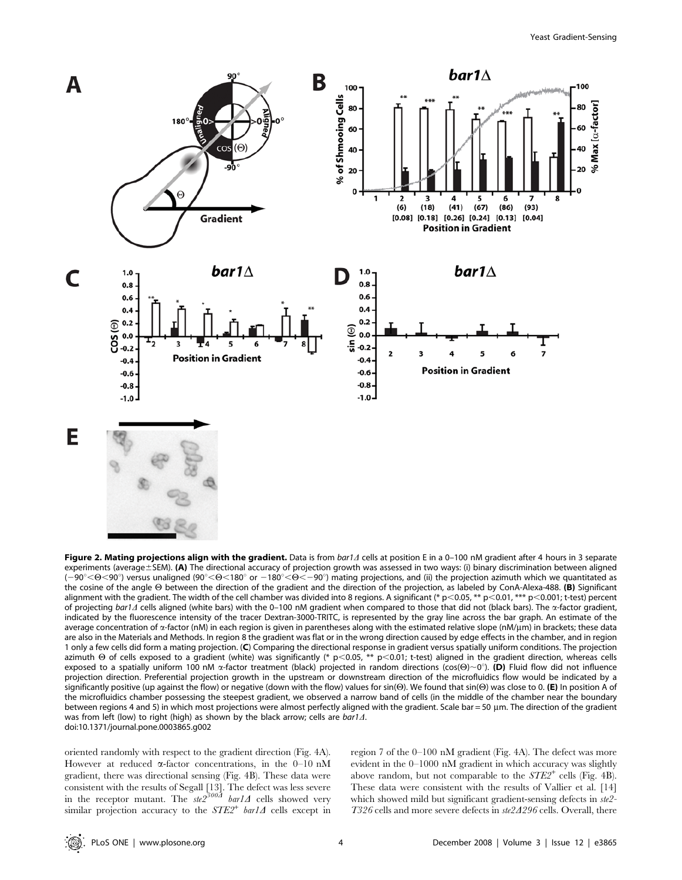

Figure 2. Mating projections align with the gradient. Data is from  $bar/1$  cells at position E in a 0-100 nM gradient after 4 hours in 3 separate experiments (average $\pm$ SEM). (A) The directional accuracy of projection growth was assessed in two ways: (i) binary discrimination between aligned  $(-90^{\circ} < \Theta < 90^{\circ})$  versus unaligned (90°< $\Theta < 180^{\circ}$  or  $-180^{\circ} < \Theta < -90^{\circ}$ ) mating projections, and (ii) the projection azimuth which we quantitated as the cosine of the angle  $\Theta$  between the direction of the gradient and the direction of the projection, as labeled by ConA-Alexa-488. (B) Significant alignment with the gradient. The width of the cell chamber was divided into 8 regions. A significant (\* p<0.05, \*\* p<0.01, \*\*\* p<0.001; t-test) percent of projecting bar1 $\Delta$  cells aligned (white bars) with the 0–100 nM gradient when compared to those that did not (black bars). The  $\alpha$ -factor gradient, indicated by the fluorescence intensity of the tracer Dextran-3000-TRITC, is represented by the gray line across the bar graph. An estimate of the average concentration of  $\alpha$ -factor (nM) in each region is given in parentheses along with the estimated relative slope (nM/µm) in brackets; these data are also in the Materials and Methods. In region 8 the gradient was flat or in the wrong direction caused by edge effects in the chamber, and in region 1 only a few cells did form a mating projection. (C) Comparing the directional response in gradient versus spatially uniform conditions. The projection azimuth  $\Theta$  of cells exposed to a gradient (white) was significantly (\* p<0.05, \*\* p<0.01; t-test) aligned in the gradient direction, whereas cells exposed to a spatially uniform 100 nM  $\alpha$ -factor treatment (black) projected in random directions (cos( $\Theta\rangle{\sim}0^{\circ}$ ). (D) Fluid flow did not influence projection direction. Preferential projection growth in the upstream or downstream direction of the microfluidics flow would be indicated by a significantly positive (up against the flow) or negative (down with the flow) values for sin( $\Theta$ ). We found that sin( $\Theta$ ) was close to 0. (E) In position A of the microfluidics chamber possessing the steepest gradient, we observed a narrow band of cells (in the middle of the chamber near the boundary between regions 4 and 5) in which most projections were almost perfectly aligned with the gradient. Scale bar = 50 µm. The direction of the gradient was from left (low) to right (high) as shown by the black arrow; cells are  $bar1\Delta$ . doi:10.1371/journal.pone.0003865.g002

oriented randomly with respect to the gradient direction (Fig. 4A). However at reduced  $\alpha$ -factor concentrations, in the 0–10 nM gradient, there was directional sensing (Fig. 4B). These data were consistent with the results of Segall [13]. The defect was less severe<br>in the receptor mutant. The  $ste2^{300A}$   $bar1\Delta$  cells showed very similar projection accuracy to the  $STE2^+$  barl $\Delta$  cells except in region 7 of the 0–100 nM gradient (Fig. 4A). The defect was more evident in the 0–1000 nM gradient in which accuracy was slightly above random, but not comparable to the  $STE2^+$  cells (Fig. 4B). These data were consistent with the results of Vallier et al. [14] which showed mild but significant gradient-sensing defects in ste2- $T326$  cells and more severe defects in  $ste2A296$  cells. Overall, there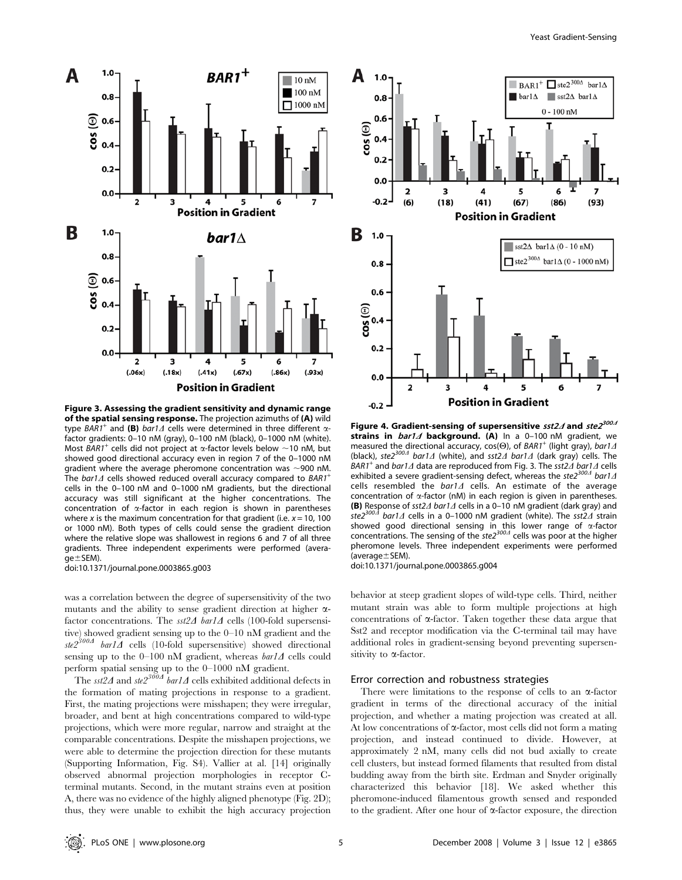

Figure 3. Assessing the gradient sensitivity and dynamic range of the spatial sensing response. The projection azimuths of (A) wild type BAR1<sup>+</sup> and (B) bar1 $\Delta$  cells were determined in three different  $\alpha$ factor gradients: 0–10 nM (gray), 0–100 nM (black), 0–1000 nM (white). Most BAR1<sup>+</sup> cells did not project at  $\alpha$ -factor levels below ~10 nM, but showed good directional accuracy even in region 7 of the 0–1000 nM gradient where the average pheromone concentration was  $\sim$ 900 nM. The bar1 $\Delta$  cells showed reduced overall accuracy compared to BAR1<sup>+</sup> cells in the 0–100 nM and 0–1000 nM gradients, but the directional accuracy was still significant at the higher concentrations. The concentration of  $\alpha$ -factor in each region is shown in parentheses where x is the maximum concentration for that gradient (i.e.  $x = 10$ , 100 or 1000 nM). Both types of cells could sense the gradient direction where the relative slope was shallowest in regions 6 and 7 of all three gradients. Three independent experiments were performed (avera $qe \pm SEM$ )

doi:10.1371/journal.pone.0003865.g003

was a correlation between the degree of supersensitivity of the two mutants and the ability to sense gradient direction at higher  $\alpha$ factor concentrations. The  $sst2\Delta$  bar1 $\Delta$  cells (100-fold supersensitive) showed gradient sensing up to the 0–10 nM gradient and the  $ste2^{300A}$  bar1 $\overline{A}$  cells (10-fold supersensitive) showed directional sensing up to the 0–100 nM gradient, whereas  $bar1\Delta$  cells could perform spatial sensing up to the 0–1000 nM gradient.

The sst2 $\Delta$  and ste2<sup>300 $\Delta$ </sup> bar1 $\Delta$  cells exhibited additional defects in the formation of mating projections in response to a gradient. First, the mating projections were misshapen; they were irregular, broader, and bent at high concentrations compared to wild-type projections, which were more regular, narrow and straight at the comparable concentrations. Despite the misshapen projections, we were able to determine the projection direction for these mutants (Supporting Information, Fig. S4). Vallier at al. [14] originally observed abnormal projection morphologies in receptor Cterminal mutants. Second, in the mutant strains even at position A, there was no evidence of the highly aligned phenotype (Fig. 2D); thus, they were unable to exhibit the high accuracy projection



Figure 4. Gradient-sensing of supersensitive  $sst2\Delta$  and  $ste2^{300\Delta}$ strains in  $bar1\Delta$  background. (A) In a 0-100 nM gradient, we measured the directional accuracy,  $cos(\Theta)$ , of BAR1<sup>+</sup> (light gray), bar1 $\Delta$ (black), ste2<sup>300A</sup> bar1 $\Delta$  (white), and sst2 $\Delta$  bar1 $\Delta$  (dark gray) cells. The BAR1<sup>+</sup> and bar1 $\Delta$  data are reproduced from Fig. 3. The sst2 $\Delta$  bar1 $\Delta$  cells exhibited a severe gradient-sensing defect, whereas the ste2<sup>3004</sup> bar1 $\Delta$ cells resembled the  $bar1\Delta$  cells. An estimate of the average concentration of  $\alpha$ -factor (nM) in each region is given in parentheses. **(B)** Response of sst2 $\Delta$  bar1 $\Delta$  cells in a 0–10 nM gradient (dark gray) and ste2<sup>300 $\Delta$ </sup> bar1 $\Delta$  cells in a 0–1000 nM gradient (white). The sst2 $\Delta$  strain bar1 $\Delta$  cells in a 0–1000 nM gradient (white). The sst2 $\Delta$  strain showed good directional sensing in this lower range of  $\alpha$ -factor concentrations. The sensing of the ste $2^{300}$  cells was poor at the higher pheromone levels. Three independent experiments were performed (average $\pm$ SEM).

doi:10.1371/journal.pone.0003865.g004

behavior at steep gradient slopes of wild-type cells. Third, neither mutant strain was able to form multiple projections at high concentrations of  $\alpha$ -factor. Taken together these data argue that Sst2 and receptor modification via the C-terminal tail may have additional roles in gradient-sensing beyond preventing supersensitivity to  $\alpha$ -factor.

#### Error correction and robustness strategies

There were limitations to the response of cells to an  $\alpha$ -factor gradient in terms of the directional accuracy of the initial projection, and whether a mating projection was created at all. At low concentrations of  $\alpha$ -factor, most cells did not form a mating projection, and instead continued to divide. However, at approximately 2 nM, many cells did not bud axially to create cell clusters, but instead formed filaments that resulted from distal budding away from the birth site. Erdman and Snyder originally characterized this behavior [18]. We asked whether this pheromone-induced filamentous growth sensed and responded to the gradient. After one hour of  $\alpha$ -factor exposure, the direction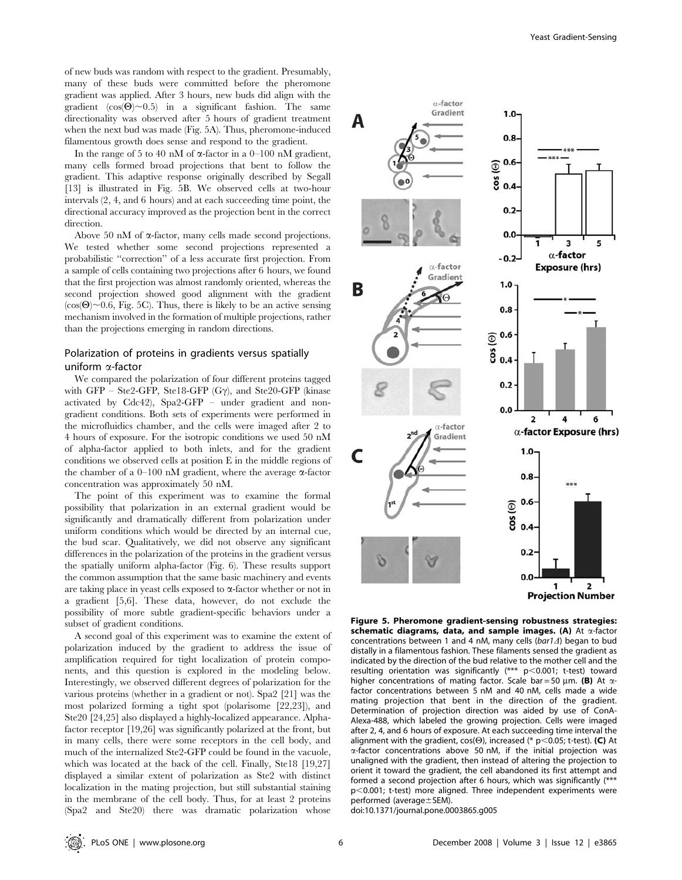of new buds was random with respect to the gradient. Presumably, many of these buds were committed before the pheromone gradient was applied. After 3 hours, new buds did align with the gradient  $(cos(\Theta) \sim 0.5)$  in a significant fashion. The same directionality was observed after 5 hours of gradient treatment when the next bud was made (Fig. 5A). Thus, pheromone-induced filamentous growth does sense and respond to the gradient.

In the range of 5 to 40 nM of  $\alpha$ -factor in a 0–100 nM gradient, many cells formed broad projections that bent to follow the gradient. This adaptive response originally described by Segall [13] is illustrated in Fig. 5B. We observed cells at two-hour intervals (2, 4, and 6 hours) and at each succeeding time point, the directional accuracy improved as the projection bent in the correct direction.

Above 50 nM of  $\alpha$ -factor, many cells made second projections. We tested whether some second projections represented a probabilistic ''correction'' of a less accurate first projection. From a sample of cells containing two projections after 6 hours, we found that the first projection was almost randomly oriented, whereas the second projection showed good alignment with the gradient  $(\cos(\Theta) \sim 0.6$ , Fig. 5C). Thus, there is likely to be an active sensing mechanism involved in the formation of multiple projections, rather than the projections emerging in random directions.

## Polarization of proteins in gradients versus spatially uniform  $\alpha$ -factor

We compared the polarization of four different proteins tagged with GFP – Ste2-GFP, Ste18-GFP  $(G\gamma)$ , and Ste20-GFP (kinase activated by Cdc42), Spa2-GFP – under gradient and nongradient conditions. Both sets of experiments were performed in the microfluidics chamber, and the cells were imaged after 2 to 4 hours of exposure. For the isotropic conditions we used 50 nM of alpha-factor applied to both inlets, and for the gradient conditions we observed cells at position E in the middle regions of the chamber of a 0–100 nM gradient, where the average  $\alpha$ -factor concentration was approximately 50 nM.

The point of this experiment was to examine the formal possibility that polarization in an external gradient would be significantly and dramatically different from polarization under uniform conditions which would be directed by an internal cue, the bud scar. Qualitatively, we did not observe any significant differences in the polarization of the proteins in the gradient versus the spatially uniform alpha-factor (Fig. 6). These results support the common assumption that the same basic machinery and events are taking place in yeast cells exposed to  $\alpha$ -factor whether or not in a gradient [5,6]. These data, however, do not exclude the possibility of more subtle gradient-specific behaviors under a subset of gradient conditions.

A second goal of this experiment was to examine the extent of polarization induced by the gradient to address the issue of amplification required for tight localization of protein components, and this question is explored in the modeling below. Interestingly, we observed different degrees of polarization for the various proteins (whether in a gradient or not). Spa2 [21] was the most polarized forming a tight spot (polarisome [22,23]), and Ste20 [24,25] also displayed a highly-localized appearance. Alphafactor receptor [19,26] was significantly polarized at the front, but in many cells, there were some receptors in the cell body, and much of the internalized Ste2-GFP could be found in the vacuole, which was located at the back of the cell. Finally, Ste18 [19,27] displayed a similar extent of polarization as Ste2 with distinct localization in the mating projection, but still substantial staining in the membrane of the cell body. Thus, for at least 2 proteins (Spa2 and Ste20) there was dramatic polarization whose



**Projection Number** 

Figure 5. Pheromone gradient-sensing robustness strategies: schematic diagrams, data, and sample images. (A) At  $\alpha$ -factor concentrations between 1 and 4 nM, many cells ( $bar1\Delta$ ) began to bud distally in a filamentous fashion. These filaments sensed the gradient as indicated by the direction of the bud relative to the mother cell and the resulting orientation was significantly  $(*** p<0.001; t-test)$  toward higher concentrations of mating factor. Scale bar = 50  $\mu$ m. (B) At  $\alpha$ factor concentrations between 5 nM and 40 nM, cells made a wide mating projection that bent in the direction of the gradient. Determination of projection direction was aided by use of ConA-Alexa-488, which labeled the growing projection. Cells were imaged after 2, 4, and 6 hours of exposure. At each succeeding time interval the alignment with the gradient,  $cos(\Theta)$ , increased (\* p<0.05; t-test). (C) At a-factor concentrations above 50 nM, if the initial projection was unaligned with the gradient, then instead of altering the projection to orient it toward the gradient, the cell abandoned its first attempt and formed a second projection after 6 hours, which was significantly (\*\*\*  $p$ <0.001; t-test) more aligned. Three independent experiments were performed (average $\pm$ SEM).

doi:10.1371/journal.pone.0003865.g005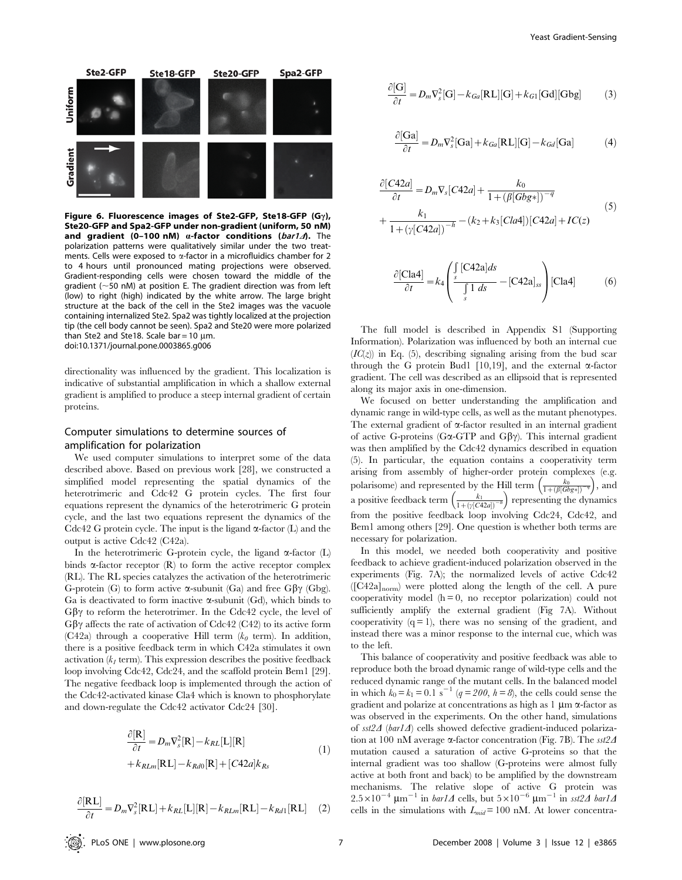

Figure 6. Fluorescence images of Ste2-GFP, Ste18-GFP (G $\gamma$ ), Ste20-GFP and Spa2-GFP under non-gradient (uniform, 50 nM) and gradient (0-100 nM)  $\alpha$ -factor conditions (bar1 $\Lambda$ ). The polarization patterns were qualitatively similar under the two treatments. Cells were exposed to  $\alpha$ -factor in a microfluidics chamber for 2 to 4 hours until pronounced mating projections were observed. Gradient-responding cells were chosen toward the middle of the gradient ( $\sim$ 50 nM) at position E. The gradient direction was from left (low) to right (high) indicated by the white arrow. The large bright structure at the back of the cell in the Ste2 images was the vacuole containing internalized Ste2. Spa2 was tightly localized at the projection tip (the cell body cannot be seen). Spa2 and Ste20 were more polarized than Ste2 and Ste18. Scale bar =  $10 \mu m$ . doi:10.1371/journal.pone.0003865.g006

directionality was influenced by the gradient. This localization is indicative of substantial amplification in which a shallow external gradient is amplified to produce a steep internal gradient of certain proteins.

## Computer simulations to determine sources of amplification for polarization

We used computer simulations to interpret some of the data described above. Based on previous work [28], we constructed a simplified model representing the spatial dynamics of the heterotrimeric and Cdc42 G protein cycles. The first four equations represent the dynamics of the heterotrimeric G protein cycle, and the last two equations represent the dynamics of the Cdc42 G protein cycle. The input is the ligand  $\alpha$ -factor (L) and the output is active Cdc42 (C42a).

In the heterotrimeric G-protein cycle, the ligand  $\alpha$ -factor (L) binds  $\alpha$ -factor receptor (R) to form the active receptor complex (RL). The RL species catalyzes the activation of the heterotrimeric G-protein (G) to form active  $\alpha$ -subunit (Ga) and free G $\beta\gamma$  (Gbg). Ga is deactivated to form inactive  $\alpha$ -subunit (Gd), which binds to  $G\beta\gamma$  to reform the heterotrimer. In the Cdc42 cycle, the level of  $G\beta\gamma$  affects the rate of activation of Cdc42 (C42) to its active form (C42a) through a cooperative Hill term ( $k<sub>0</sub>$  term). In addition, there is a positive feedback term in which C42a stimulates it own activation  $(k<sub>1</sub>$  term). This expression describes the positive feedback loop involving Cdc42, Cdc24, and the scaffold protein Bem1 [29]. The negative feedback loop is implemented through the action of the Cdc42-activated kinase Cla4 which is known to phosphorylate and down-regulate the Cdc42 activator Cdc24 [30].

$$
\frac{\partial[\mathbf{R}]}{\partial t} = D_m \nabla_s^2[\mathbf{R}] - k_{RL}[\mathbf{L}][\mathbf{R}]
$$
  
+  $k_{RLm}[\mathbf{R}\mathbf{L}] - k_{Rd0}[\mathbf{R}] + [C42a]k_{Rs}$  (1)

$$
\frac{\partial[\mathbf{RL}]}{\partial t} = D_m \nabla_s^2[\mathbf{RL}] + k_{RL}[\mathbf{L}][\mathbf{R}] - k_{RLm}[\mathbf{RL}] - k_{Rd1}[\mathbf{RL}] \tag{2}
$$

$$
\frac{\partial[\mathbf{G}]}{\partial t} = D_m \nabla_s^2[\mathbf{G}] - k_{Ga}[\mathbf{R} \mathbf{L}][\mathbf{G}] + k_{G1}[\mathbf{Gd}][\mathbf{Gbg}] \tag{3}
$$

$$
\frac{\partial [\text{Ga}]}{\partial t} = D_m \nabla_s^2 [\text{Ga}] + k_{Ga} [\text{RL}][\text{G}] - k_{Gd} [\text{Ga}] \tag{4}
$$

$$
\frac{\partial [C42a]}{\partial t} = D_m \nabla_s [C42a] + \frac{k_0}{1 + (\beta [Gbg*])^{-q}}
$$
  
+ 
$$
\frac{k_1}{1 + (\gamma [C42a])^{-h}} - (k_2 + k_3 [Cla4])[C42a] + IC(z)
$$
 (5)

$$
\frac{\partial [\text{Cla4}]}{\partial t} = k_4 \left( \frac{\int_s [\text{C42a}] ds}{\int_s 1 ds} - [\text{C42a}]_{ss} \right) [\text{Cla4}] \tag{6}
$$

The full model is described in Appendix S1 (Supporting Information). Polarization was influenced by both an internal cue  $(IC(z))$  in Eq. (5), describing signaling arising from the bud scar through the G protein Bud1 [10,19], and the external  $\alpha$ -factor gradient. The cell was described as an ellipsoid that is represented along its major axis in one-dimension.

We focused on better understanding the amplification and dynamic range in wild-type cells, as well as the mutant phenotypes. The external gradient of  $\alpha$ -factor resulted in an internal gradient of active G-proteins (G $\alpha$ -GTP and G $\beta\gamma$ ). This internal gradient was then amplified by the Cdc42 dynamics described in equation (5). In particular, the equation contains a cooperativity term arising from assembly of higher-order protein complexes (e.g. polarisome) and represented by the Hill term  $\left(\frac{k_0}{1+(\beta[Gbg*])^{-q}}\right)$  $\alpha$ -complexes , and a positive feedback term  $\left(\frac{k_1}{1+({\gamma}[C42a])^{-k}}\right)$  $\left(\frac{k_1}{1+(b(G/2a))^{-h}}\right)$  representing the dynamics from the positive feedback loop involving Cdc24, Cdc42, and Bem1 among others [29]. One question is whether both terms are necessary for polarization.

In this model, we needed both cooperativity and positive feedback to achieve gradient-induced polarization observed in the experiments (Fig. 7A); the normalized levels of active Cdc42  $( [C42a]_{\text{norm}})$  were plotted along the length of the cell. A pure cooperativity model  $(h = 0, no receptor polarization) could not$ sufficiently amplify the external gradient (Fig 7A). Without cooperativity  $(q = 1)$ , there was no sensing of the gradient, and instead there was a minor response to the internal cue, which was to the left.

This balance of cooperativity and positive feedback was able to reproduce both the broad dynamic range of wild-type cells and the reduced dynamic range of the mutant cells. In the balanced model in which  $k_0 = k_1 = 0.1$  s<sup>-1</sup> (q = 200, h = 8), the cells could sense the gradient and polarize at concentrations as high as  $1 \mu m \alpha$ -factor as was observed in the experiments. On the other hand, simulations of  $sst2\Delta$  (bar1 $\Delta$ ) cells showed defective gradient-induced polarization at 100 nM average  $\alpha$ -factor concentration (Fig. 7B). The sst2 $\Delta$ mutation caused a saturation of active G-proteins so that the internal gradient was too shallow (G-proteins were almost fully active at both front and back) to be amplified by the downstream mechanisms. The relative slope of active G protein was  $2.5 \times 10^{-4}$  µm<sup>-1</sup> in *bar1* $\Delta$  cells, but  $5 \times 10^{-6}$  µm<sup>-1</sup> in sst2 $\Delta$  bar1 $\Delta$ cells in the simulations with  $L_{mid} = 100$  nM. At lower concentra-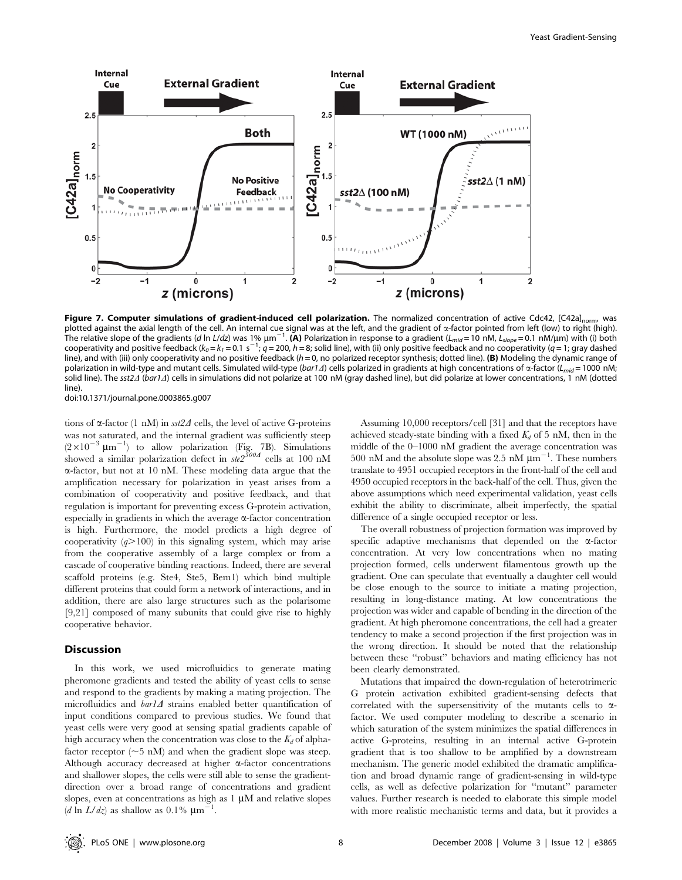

Figure 7. Computer simulations of gradient-induced cell polarization. The normalized concentration of active Cdc42, [C42a]<sub>norm</sub>, was plotted against the axial length of the cell. An internal cue signal was at the left, and the gradient of  $\alpha$ -factor pointed from left (low) to right (high). The relative slope of the gradients (d ln L/dz) was 1%  $\mu$ m $^{-1}$ . (A) Polarization in response to a gradient (L<sub>mid</sub> = 10 nM, L<sub>slope</sub> = 0.1 nM/ $\mu$ m) with (i) both cooperativity and positive feedback (k<sub>0</sub> = k<sub>1</sub> = 0.1 s<sup>-1</sup>; q = 200, h = 8; solid line), with (ii) only positive feedback and no cooperativity (q = 1; gray dashed line), and with (iii) only cooperativity and no positive feedback  $(h = 0, no$  polarized receptor synthesis; dotted line). (B) Modeling the dynamic range of polarization in wild-type and mutant cells. Simulated wild-type (bar1 $\Delta$ ) cells polarized in gradients at high concentrations of  $\alpha$ -factor ( $L_{mid}$  = 1000 nM; solid line). The sst2 $\Delta$  (bar1 $\Delta$ ) cells in simulations did not polarize at 100 nM (gray dashed line), but did polarize at lower concentrations, 1 nM (dotted line).

doi:10.1371/journal.pone.0003865.g007

tions of  $\alpha$ -factor (1 nM) in sst2 $\Delta$  cells, the level of active G-proteins was not saturated, and the internal gradient was sufficiently steep  $(2\times10^{-3} \ \mu m^{-1})$  to allow polarization (Fig. 7B). Simulations showed a similar polarization defect in  $ste2^{300A}$  cells at 100 nM a-factor, but not at 10 nM. These modeling data argue that the amplification necessary for polarization in yeast arises from a combination of cooperativity and positive feedback, and that regulation is important for preventing excess G-protein activation, especially in gradients in which the average  $\alpha$ -factor concentration is high. Furthermore, the model predicts a high degree of cooperativity  $(q>100)$  in this signaling system, which may arise from the cooperative assembly of a large complex or from a cascade of cooperative binding reactions. Indeed, there are several scaffold proteins (e.g. Ste4, Ste5, Bem1) which bind multiple different proteins that could form a network of interactions, and in addition, there are also large structures such as the polarisome [9,21] composed of many subunits that could give rise to highly cooperative behavior.

## Discussion

In this work, we used microfluidics to generate mating pheromone gradients and tested the ability of yeast cells to sense and respond to the gradients by making a mating projection. The microfluidics and  $bar1\Delta$  strains enabled better quantification of input conditions compared to previous studies. We found that yeast cells were very good at sensing spatial gradients capable of high accuracy when the concentration was close to the  $K_d$  of alphafactor receptor  $(\sim 5 \text{ nM})$  and when the gradient slope was steep. Although accuracy decreased at higher  $\alpha$ -factor concentrations and shallower slopes, the cells were still able to sense the gradientdirection over a broad range of concentrations and gradient slopes, even at concentrations as high as  $1 \mu M$  and relative slopes  $(d \ln L/dz)$  as shallow as 0.1%  $\mu$ m<sup>21</sup>.

Assuming 10,000 receptors/cell [31] and that the receptors have achieved steady-state binding with a fixed  $K_d$  of 5 nM, then in the middle of the 0–1000 nM gradient the average concentration was 500 nM and the absolute slope was 2.5 nM  $\mu$ m<sup>-1</sup>. These numbers translate to 4951 occupied receptors in the front-half of the cell and 4950 occupied receptors in the back-half of the cell. Thus, given the above assumptions which need experimental validation, yeast cells exhibit the ability to discriminate, albeit imperfectly, the spatial difference of a single occupied receptor or less.

The overall robustness of projection formation was improved by specific adaptive mechanisms that depended on the  $\alpha$ -factor concentration. At very low concentrations when no mating projection formed, cells underwent filamentous growth up the gradient. One can speculate that eventually a daughter cell would be close enough to the source to initiate a mating projection, resulting in long-distance mating. At low concentrations the projection was wider and capable of bending in the direction of the gradient. At high pheromone concentrations, the cell had a greater tendency to make a second projection if the first projection was in the wrong direction. It should be noted that the relationship between these ''robust'' behaviors and mating efficiency has not been clearly demonstrated.

Mutations that impaired the down-regulation of heterotrimeric G protein activation exhibited gradient-sensing defects that correlated with the supersensitivity of the mutants cells to  $\alpha$ factor. We used computer modeling to describe a scenario in which saturation of the system minimizes the spatial differences in active G-proteins, resulting in an internal active G-protein gradient that is too shallow to be amplified by a downstream mechanism. The generic model exhibited the dramatic amplification and broad dynamic range of gradient-sensing in wild-type cells, as well as defective polarization for ''mutant'' parameter values. Further research is needed to elaborate this simple model with more realistic mechanistic terms and data, but it provides a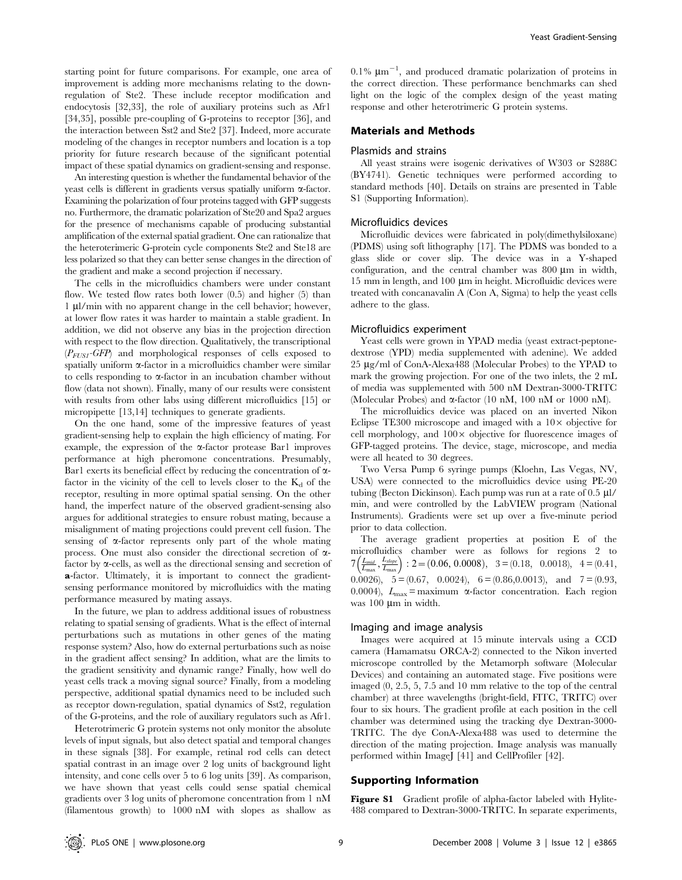starting point for future comparisons. For example, one area of improvement is adding more mechanisms relating to the downregulation of Ste2. These include receptor modification and endocytosis [32,33], the role of auxiliary proteins such as Afr1 [34,35], possible pre-coupling of G-proteins to receptor [36], and the interaction between Sst2 and Ste2 [37]. Indeed, more accurate modeling of the changes in receptor numbers and location is a top priority for future research because of the significant potential impact of these spatial dynamics on gradient-sensing and response.

An interesting question is whether the fundamental behavior of the yeast cells is different in gradients versus spatially uniform  $\alpha$ -factor. Examining the polarization of four proteins tagged with GFP suggests no. Furthermore, the dramatic polarization of Ste20 and Spa2 argues for the presence of mechanisms capable of producing substantial amplification of the external spatial gradient. One can rationalize that the heteroterimeric G-protein cycle components Ste2 and Ste18 are less polarized so that they can better sense changes in the direction of the gradient and make a second projection if necessary.

The cells in the microfluidics chambers were under constant flow. We tested flow rates both lower (0.5) and higher (5) than 1 µl/min with no apparent change in the cell behavior; however, at lower flow rates it was harder to maintain a stable gradient. In addition, we did not observe any bias in the projection direction with respect to the flow direction. Qualitatively, the transcriptional  $(P_{FUSI}-GFP)$  and morphological responses of cells exposed to spatially uniform  $\alpha$ -factor in a microfluidics chamber were similar to cells responding to  $\alpha$ -factor in an incubation chamber without flow (data not shown). Finally, many of our results were consistent with results from other labs using different microfluidics [15] or micropipette [13,14] techniques to generate gradients.

On the one hand, some of the impressive features of yeast gradient-sensing help to explain the high efficiency of mating. For example, the expression of the  $\alpha$ -factor protease Bar1 improves performance at high pheromone concentrations. Presumably, Bar1 exerts its beneficial effect by reducing the concentration of  $\alpha$ factor in the vicinity of the cell to levels closer to the  $K_d$  of the receptor, resulting in more optimal spatial sensing. On the other hand, the imperfect nature of the observed gradient-sensing also argues for additional strategies to ensure robust mating, because a misalignment of mating projections could prevent cell fusion. The sensing of  $\alpha$ -factor represents only part of the whole mating process. One must also consider the directional secretion of afactor by  $\alpha$ -cells, as well as the directional sensing and secretion of a-factor. Ultimately, it is important to connect the gradientsensing performance monitored by microfluidics with the mating performance measured by mating assays.

In the future, we plan to address additional issues of robustness relating to spatial sensing of gradients. What is the effect of internal perturbations such as mutations in other genes of the mating response system? Also, how do external perturbations such as noise in the gradient affect sensing? In addition, what are the limits to the gradient sensitivity and dynamic range? Finally, how well do yeast cells track a moving signal source? Finally, from a modeling perspective, additional spatial dynamics need to be included such as receptor down-regulation, spatial dynamics of Sst2, regulation of the G-proteins, and the role of auxiliary regulators such as Afr1.

Heterotrimeric G protein systems not only monitor the absolute levels of input signals, but also detect spatial and temporal changes in these signals [38]. For example, retinal rod cells can detect spatial contrast in an image over 2 log units of background light intensity, and cone cells over 5 to 6 log units [39]. As comparison, we have shown that yeast cells could sense spatial chemical gradients over 3 log units of pheromone concentration from 1 nM (filamentous growth) to 1000 nM with slopes as shallow as

 $0.1\%$   $\mu$ m<sup>-1</sup>, and produced dramatic polarization of proteins in the correct direction. These performance benchmarks can shed light on the logic of the complex design of the yeast mating response and other heterotrimeric G protein systems.

## Materials and Methods

#### Plasmids and strains

All yeast strains were isogenic derivatives of W303 or S288C (BY4741). Genetic techniques were performed according to standard methods [40]. Details on strains are presented in Table S1 (Supporting Information).

### Microfluidics devices

Microfluidic devices were fabricated in poly(dimethylsiloxane) (PDMS) using soft lithography [17]. The PDMS was bonded to a glass slide or cover slip. The device was in a Y-shaped configuration, and the central chamber was  $800 \mu m$  in width, 15 mm in length, and 100  $\mu$ m in height. Microfluidic devices were treated with concanavalin A (Con A, Sigma) to help the yeast cells adhere to the glass.

#### Microfluidics experiment

Yeast cells were grown in YPAD media (yeast extract-peptonedextrose (YPD) media supplemented with adenine). We added 25 µg/ml of ConA-Alexa488 (Molecular Probes) to the YPAD to mark the growing projection. For one of the two inlets, the 2 mL of media was supplemented with 500 nM Dextran-3000-TRITC (Molecular Probes) and  $\alpha$ -factor (10 nM, 100 nM or 1000 nM).

The microfluidics device was placed on an inverted Nikon Eclipse TE300 microscope and imaged with a  $10\times$  objective for cell morphology, and  $100 \times$  objective for fluorescence images of GFP-tagged proteins. The device, stage, microscope, and media were all heated to 30 degrees.

Two Versa Pump 6 syringe pumps (Kloehn, Las Vegas, NV, USA) were connected to the microfluidics device using PE-20 tubing (Becton Dickinson). Each pump was run at a rate of  $0.5 \mu$ l/ min, and were controlled by the LabVIEW program (National Instruments). Gradients were set up over a five-minute period prior to data collection.

The average gradient properties at position E of the microfluidics chamber were as follows for regions 2 to micronuments champer were as identity for regions 2 to<br>  $7\left(\frac{L_{mid}}{L_{max}}, \frac{L_{slope}}{L_{max}}\right)$ : 2 = (0.06, 0.0008), 3 = (0.18, 0.0018), 4 = (0.41, 0.0026),  $5 = (0.67, 0.0024)$ ,  $6 = (0.86, 0.0013)$ , and  $7 = (0.93,$ 0.0004),  $L_{\text{max}}$  = maximum  $\alpha$ -factor concentration. Each region was  $100 \mu m$  in width.

#### Imaging and image analysis

Images were acquired at 15 minute intervals using a CCD camera (Hamamatsu ORCA-2) connected to the Nikon inverted microscope controlled by the Metamorph software (Molecular Devices) and containing an automated stage. Five positions were imaged (0, 2.5, 5, 7.5 and 10 mm relative to the top of the central chamber) at three wavelengths (bright-field, FITC, TRITC) over four to six hours. The gradient profile at each position in the cell chamber was determined using the tracking dye Dextran-3000- TRITC. The dye ConA-Alexa488 was used to determine the direction of the mating projection. Image analysis was manually performed within ImageJ [41] and CellProfiler [42].

#### Supporting Information

Figure S1 Gradient profile of alpha-factor labeled with Hylite-488 compared to Dextran-3000-TRITC. In separate experiments,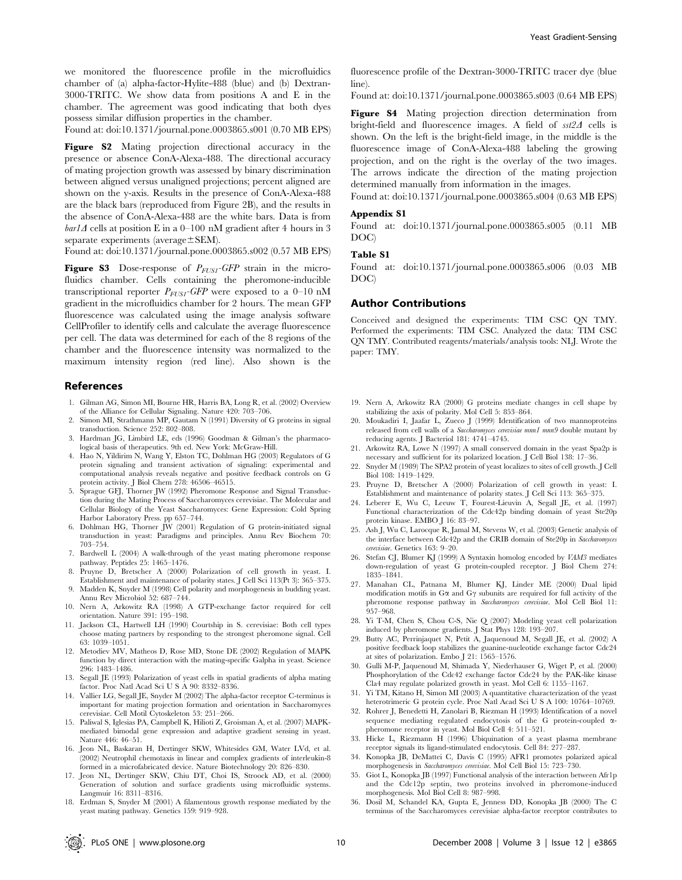we monitored the fluorescence profile in the microfluidics chamber of (a) alpha-factor-Hylite-488 (blue) and (b) Dextran-3000-TRITC. We show data from positions A and E in the chamber. The agreement was good indicating that both dyes possess similar diffusion properties in the chamber.

Found at: doi:10.1371/journal.pone.0003865.s001 (0.70 MB EPS)

Figure S2 Mating projection directional accuracy in the presence or absence ConA-Alexa-488. The directional accuracy of mating projection growth was assessed by binary discrimination between aligned versus unaligned projections; percent aligned are shown on the y-axis. Results in the presence of ConA-Alexa-488 are the black bars (reproduced from Figure 2B), and the results in the absence of ConA-Alexa-488 are the white bars. Data is from  $bar1\Delta$  cells at position E in a 0–100 nM gradient after 4 hours in 3 separate experiments (average $\pm$ SEM).

Found at: doi:10.1371/journal.pone.0003865.s002 (0.57 MB EPS)

**Figure S3** Dose-response of  $P_{FUSI}$ -GFP strain in the microfluidics chamber. Cells containing the pheromone-inducible transcriptional reporter  $P_{FUSI}$ -GFP were exposed to a 0–10 nM gradient in the microfluidics chamber for 2 hours. The mean GFP fluorescence was calculated using the image analysis software CellProfiler to identify cells and calculate the average fluorescence per cell. The data was determined for each of the 8 regions of the chamber and the fluorescence intensity was normalized to the maximum intensity region (red line). Also shown is the

#### References

- 1. Gilman AG, Simon MI, Bourne HR, Harris BA, Long R, et al. (2002) Overview of the Alliance for Cellular Signaling. Nature 420: 703–706.
- 2. Simon MI, Strathmann MP, Gautam N (1991) Diversity of G proteins in signal transduction. Science 252: 802–808.
- 3. Hardman JG, Limbird LE, eds (1996) Goodman & Gilman's the pharmacological basis of therapeutics. 9th ed. New York: McGraw-Hill.
- 4. Hao N, Yildirim N, Wang Y, Elston TC, Dohlman HG (2003) Regulators of G protein signaling and transient activation of signaling: experimental and computational analysis reveals negative and positive feedback controls on G protein activity. J Biol Chem 278: 46506–46515.
- 5. Sprague GFJ, Thorner JW (1992) Pheromone Response and Signal Transduction during the Mating Process of Saccharomyces cerevisiae. The Molecular and Cellular Biology of the Yeast Saccharomyces: Gene Expression: Cold Spring Harbor Laboratory Press. pp 657–744.
- 6. Dohlman HG, Thorner JW (2001) Regulation of G protein-initiated signal transduction in yeast: Paradigms and principles. Annu Rev Biochem 70: 703–754.
- 7. Bardwell L (2004) A walk-through of the yeast mating pheromone response pathway. Peptides 25: 1465–1476.
- 8. Pruyne D, Bretscher A (2000) Polarization of cell growth in yeast. I. Establishment and maintenance of polarity states. J Cell Sci 113(Pt 3): 365–375.
- 9. Madden K, Snyder M (1998) Cell polarity and morphogenesis in budding yeast. Annu Rev Microbiol 52: 687–744.
- 10. Nern A, Arkowitz RA (1998) A GTP-exchange factor required for cell orientation. Nature 391: 195–198.
- 11. Jackson CL, Hartwell LH (1990) Courtship in S. cerevisiae: Both cell types choose mating partners by responding to the strongest pheromone signal. Cell 63: 1039–1051.
- 12. Metodiev MV, Matheos D, Rose MD, Stone DE (2002) Regulation of MAPK function by direct interaction with the mating-specific Galpha in yeast. Science 296: 1483–1486.
- 13. Segall JE (1993) Polarization of yeast cells in spatial gradients of alpha mating factor. Proc Natl Acad Sci U S A 90: 8332–8336.
- 14. Vallier LG, Segall JE, Snyder M (2002) The alpha-factor receptor C-terminus is important for mating projection formation and orientation in Saccharomyces cerevisiae. Cell Motil Cytoskeleton 53: 251–266.
- 15. Paliwal S, Iglesias PA, Campbell K, Hilioti Z, Groisman A, et al. (2007) MAPKmediated bimodal gene expression and adaptive gradient sensing in yeast. Nature 446: 46–51.
- 16. Jeon NL, Baskaran H, Dertinger SKW, Whitesides GM, Water LVd, et al. (2002) Neutrophil chemotaxis in linear and complex gradients of interleukin-8 formed in a microfabricated device. Nature Biotechnology 20: 826–830.
- 17. Jeon NL, Dertinger SKW, Chiu DT, Choi IS, Stroock AD, et al. (2000) Generation of solution and surface gradients using microfluidic systems. Langmuir 16: 8311–8316.
- 18. Erdman S, Snyder M (2001) A filamentous growth response mediated by the yeast mating pathway. Genetics 159: 919–928.

fluorescence profile of the Dextran-3000-TRITC tracer dye (blue line).

Found at: doi:10.1371/journal.pone.0003865.s003 (0.64 MB EPS)

Figure S4 Mating projection direction determination from bright-field and fluorescence images. A field of  $sst2\Delta$  cells is shown. On the left is the bright-field image, in the middle is the fluorescence image of ConA-Alexa-488 labeling the growing projection, and on the right is the overlay of the two images. The arrows indicate the direction of the mating projection determined manually from information in the images.

Found at: doi:10.1371/journal.pone.0003865.s004 (0.63 MB EPS)

#### Appendix S1

Found at: doi:10.1371/journal.pone.0003865.s005 (0.11 MB DOC)

#### Table S1

Found at: doi:10.1371/journal.pone.0003865.s006 (0.03 MB DOC)

#### Author Contributions

Conceived and designed the experiments: TIM CSC QN TMY. Performed the experiments: TIM CSC. Analyzed the data: TIM CSC QN TMY. Contributed reagents/materials/analysis tools: NLJ. Wrote the paper: TMY.

- 19. Nern A, Arkowitz RA (2000) G proteins mediate changes in cell shape by stabilizing the axis of polarity. Mol Cell 5: 853–864.
- 20. Moukadiri I, Jaafar L, Zueco J (1999) Identification of two mannoproteins released from cell walls of a Saccharomyces cerevisiae mnn1 mnn9 double mutant by reducing agents. J Bacteriol 181: 4741–4745.
- 21. Arkowitz RA, Lowe N (1997) A small conserved domain in the yeast Spa2p is necessary and sufficient for its polarized location. J Cell Biol 138: 17–36.
- 22. Snyder M (1989) The SPA2 protein of yeast localizes to sites of cell growth. J Cell Biol 108: 1419–1429.
- 23. Pruyne D, Bretscher A (2000) Polarization of cell growth in yeast: I. Establishment and maintenance of polarity states. J Cell Sci 113: 365–375.
- 24. Leberer E, Wu C, Leeuw T, Fourest-Lieuvin A, Segall JE, et al. (1997) Functional characterization of the Cdc42p binding domain of yeast Ste20p protein kinase. EMBO J 16: 83–97.
- 25. Ash J, Wu C, Larocque R, Jamal M, Stevens W, et al. (2003) Genetic analysis of the interface between Cdc42p and the CRIB domain of Ste20p in Saccharomyces cerevisiae. Genetics 163: 9–20.
- 26. Stefan CJ, Blumer KJ (1999) A Syntaxin homolog encoded by VAM3 mediates down-regulation of yeast G protein-coupled receptor. J Biol Chem 274: 1835–1841.
- 27. Manahan CL, Patnana M, Blumer KJ, Linder ME (2000) Dual lipid modification motifs in  $G\alpha$  and  $G\gamma$  subunits are required for full activity of the pheromone response pathway in Saccharomyces cerevisiae. Mol Cell Biol 11: 957–968.
- 28. Yi T-M, Chen S, Chou C-S, Nie Q (2007) Modeling yeast cell polarization induced by pheromone gradients. J Stat Phys 128: 193–207.
- 29. Butty AC, Perrinjaquet N, Petit A, Jaquenoud M, Segall JE, et al. (2002) A positive feedback loop stabilizes the guanine-nucleotide exchange factor Cdc24 at sites of polarization. Embo J 21: 1565–1576.
- 30. Gulli M-P, Jaquenoud M, Shimada Y, Niederhauser G, Wiget P, et al. (2000) Phosphorylation of the Cdc42 exchange factor Cdc24 by the PAK-like kinase Cla4 may regulate polarized growth in yeast. Mol Cell 6: 1155–1167.
- 31. Yi TM, Kitano H, Simon MI (2003) A quantitative characterization of the yeast heterotrimeric G protein cycle. Proc Natl Acad Sci U S A 100: 10764–10769.
- 32. Rohrer J, Benedetti H, Zanolari B, Riezman H (1993) Identification of a novel sequence mediating regulated endocytosis of the G protein-coupled apheromone receptor in yeast. Mol Biol Cell 4: 511–521.
- 33. Hicke L, Riezmann H (1996) Ubiquination of a yeast plasma membrane receptor signals its ligand-stimulated endocytosis. Cell 84: 277–287.
- 34. Konopka JB, DeMattei C, Davis C (1995) AFR1 promotes polarized apical morphogenesis in Saccharomyces cerevisiae. Mol Cell Biol 15: 723–730.
- 35. Giot L, Konopka JB (1997) Functional analysis of the interaction between Afr1p and the Cdc12p septin, two proteins involved in pheromone-induced morphogenesis. Mol Biol Cell 8: 987–998.
- 36. Dosil M, Schandel KA, Gupta E, Jenness DD, Konopka JB (2000) The C terminus of the Saccharomyces cerevisiae alpha-factor receptor contributes to